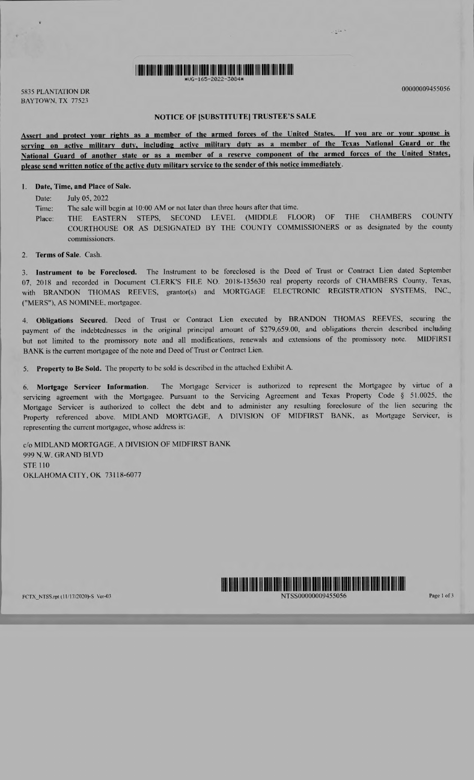

<sup>5835</sup>PLANTATION DR <sup>00000009455056</sup> BAYTOWN, TX 77523

 $\sim$  and  $\sim$ 

## NOTICE OF [SUBSTITUTE] TRUSTEE'S SALE

Assert and protect your rights as a member of the armed forces of the United States. If you are or your spouse is serving on active military duty, including active military duty as a member of the Texas National Guard or the National Guard of another state or as a member of a reserve component of the armed forces of the United States, please send written notice of the active duty military service to the sender of this notice immediately.

### I. Date, Time, and Place of Sale.

Date: July 05, 2022

Time: The sale will begin at I0:00 AM or not later than three hours after that time.

- Place: THE EASTERN STEPS, SECOND LEVEL (MIDDLE FLOOR) OF THE CHAMBERS COUNTY COURTHOUSE OR AS DESIGNATED BY THE COUNTY COMMISSIONERS or as designated by the county commissioners.
- 2. Terms of Sale. Cash.

3. Instrument to be Foreclosed. The Instrument to be foreclosed is the Deed of Trust or Contract Lien dated September 07, 2018 and recorded in Document CLERK'S FILE NO. 2018-135630 real property records of CHAMBERS County, Texas, with BRANDON THOMAS REEVES, grantor(s) and MORTGAGE ELECTRONIC REGISTRATION SYSTEMS, INC., ("MERS"), AS NOMINEE, mortgagee.

4. Obligations Secured. Deed of Trust or Contract Lien executed by BRANDON THOMAS REEVES, securing the payment of the indebtednesses in the original principal amount of \$279,659.00, and obligations therein described including but not limited to the promissory note and all modifications, renewals and extensions of the promissory note. MIDFIRSI BANK is the current mortgagee of the note and Deed of Trust or Contract Lien.

5. Property to Be Sold. The property to be sold is described in the attached Exhibit A.

6. Mortgage Servicer Information. The Mortgage Servicer is authorized to represent the Mortgagee by virtue of <sup>a</sup> servicing agreement with the Mortgagee. Pursuant to the Servicing Agreement and Texas Property Code § 51.0025, the Mortgage Servicer is authorized to collect the debt and to administer any resulting foreclosure of the lien securing the Property referenced above. MIDLAND MORTGAGE, A DIVISION OF MIDFIRST BANK, as Mortgage Servicer, is representing the current mortgagee, whose address is:

c/o MIDLAND MORTGAGE, A DIVISION OF MIDFIRST BANK 999 N.W. GRAND BLVD STE 110 OKLAHOMA CITY, OK 73118-6077

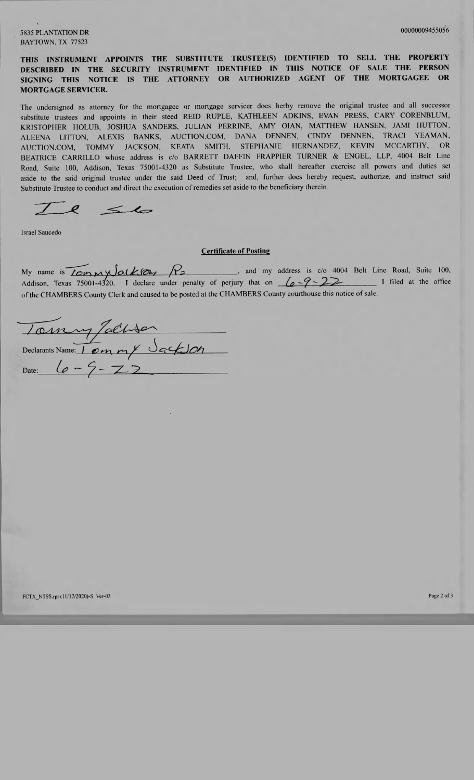## 5835 PLANTATION DR 00000009455056 BAYTOWN, TX 77523

# THIS INSTRUMENT APPOINTS THE SUBSTITUTE TRUSTEE(S) IDENTIFIED TO SELL THE PROPERTY DESCRIBED IN THE SECURITY INSTRUMENT IDENTIFIED IN THIS NOTICE OF SALE THE PERSON<br>SIGNING THIS NOTICE IS THE ATTORNEY OR AUTHORIZED AGENT OF THE MORTGAGEE OR SIGNING THIS NOTICE IS THE ATTORNEY OR AUTHORIZED AGENT MORTGAGE SERVICER.

The undersigned as attorney for the mortgagee or mortgage servicer does herby remove the original trustee and all successor substitute trustees and appoints in their steed REID RUPLE, KATHLEEN ADKINS, EVAN PRESS, CARY CORENBLUM, KRISTOPHER HOLUB, JOSHUA SANDERS, JULIAN PERRINE, AMY OIAN, MATTHEW HANSEN, JAMI HUTTON, ALEENA LITTON, ALEXIS BANKS, AUCTION.COM, DANA DENNEN, CINDY DENNEN, TRACI YEAMAN, AUCTION.COM, TOMMY JACKSON, KEATA SMITH, STEPHANIE HERNANDEZ, KEVIN MCCARTHY, OR BEATRICE CARRILLO whose address is c/o BARRETT DAFFIN FRAPPIER TURNER & ENGEL, LLP, 4004 Belt Line Road, Suite 100, Addison, Texas 75001-4320 as Substitute Trustee, who shall hereafter exercise all powers and duties set aside to the said original trustee under the said Deed of Trust; and, further does hereby request, authorize, and instruct said Substitute Trustee to conduct and direct the execution of remedies set aside to the beneficiary therein.

 $l < l$ 

Israel Saucedo

#### Certificate of Posting

My name is  $\overline{1\text{cm}}\times\sqrt{\alpha k\text{cm}}$   $\overline{R_2}$ , and my address is  $\cos$  4004 Belt Line Road, Suite 100, My name is  $\frac{1}{2}$   $\frac{1}{2}$   $\frac{1}{3}$   $\frac{1}{2}$   $\frac{1}{3}$  and my addiess is  $\frac{1}{2}$  bent Ellie Road, suite 100, Addison, Texas 75001-4320. I declare under penalty of perjury that on  $\frac{1}{2}$   $\frac{1}{2}$   $\frac{1}{2}$  if f of the CHAMBERS County Clerk and caused to be posted at the CHAMBERS County courthouse this notice of sale.

Declarants Name:  $\int \mathcal{O} \cdot$ Date:  $\mathcal{O}n$